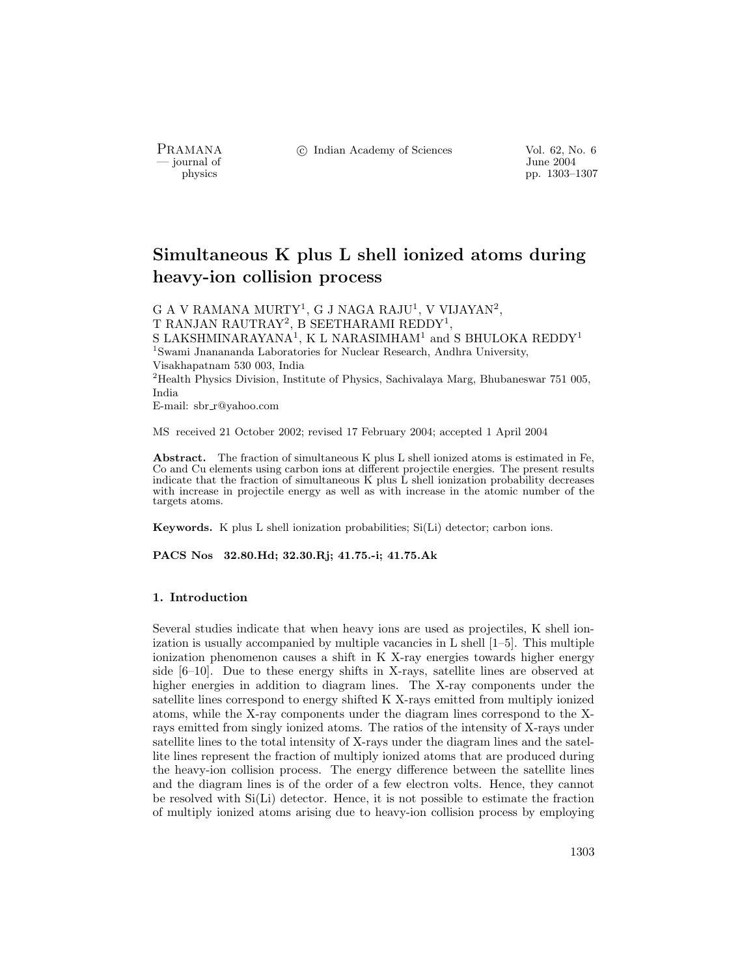- journal of<br>physics

PRAMANA °<sup>c</sup> Indian Academy of Sciences Vol. 62, No. 6

pp. 1303–1307

# Simultaneous K plus L shell ionized atoms during heavy-ion collision process

G A V RAMANA MURTY<sup>1</sup>, G J NAGA RAJU<sup>1</sup>, V VIJAYAN<sup>2</sup>, T RANJAN RAUTRAY<sup>2</sup>, B SEETHARAMI REDDY<sup>1</sup>, S LAKSHMINARAYANA<sup>1</sup>, K L NARASIMHAM<sup>1</sup> and S BHULOKA REDDY<sup>1</sup> <sup>1</sup>Swami Jnanananda Laboratories for Nuclear Research, Andhra University, Visakhapatnam 530 003, India <sup>2</sup>Health Physics Division, Institute of Physics, Sachivalaya Marg, Bhubaneswar 751 005, India E-mail: sbr r@yahoo.com

MS received 21 October 2002; revised 17 February 2004; accepted 1 April 2004

Abstract. The fraction of simultaneous K plus L shell ionized atoms is estimated in Fe, Co and Cu elements using carbon ions at different projectile energies. The present results indicate that the fraction of simultaneous K plus L shell ionization probability decreases with increase in projectile energy as well as with increase in the atomic number of the targets atoms.

Keywords. K plus L shell ionization probabilities; Si(Li) detector; carbon ions.

PACS Nos 32.80.Hd; 32.30.Rj; 41.75.-i; 41.75.Ak

#### 1. Introduction

Several studies indicate that when heavy ions are used as projectiles, K shell ionization is usually accompanied by multiple vacancies in L shell [1–5]. This multiple ionization phenomenon causes a shift in K X-ray energies towards higher energy side [6–10]. Due to these energy shifts in X-rays, satellite lines are observed at higher energies in addition to diagram lines. The X-ray components under the satellite lines correspond to energy shifted K X-rays emitted from multiply ionized atoms, while the X-ray components under the diagram lines correspond to the Xrays emitted from singly ionized atoms. The ratios of the intensity of X-rays under satellite lines to the total intensity of X-rays under the diagram lines and the satellite lines represent the fraction of multiply ionized atoms that are produced during the heavy-ion collision process. The energy difference between the satellite lines and the diagram lines is of the order of a few electron volts. Hence, they cannot be resolved with Si(Li) detector. Hence, it is not possible to estimate the fraction of multiply ionized atoms arising due to heavy-ion collision process by employing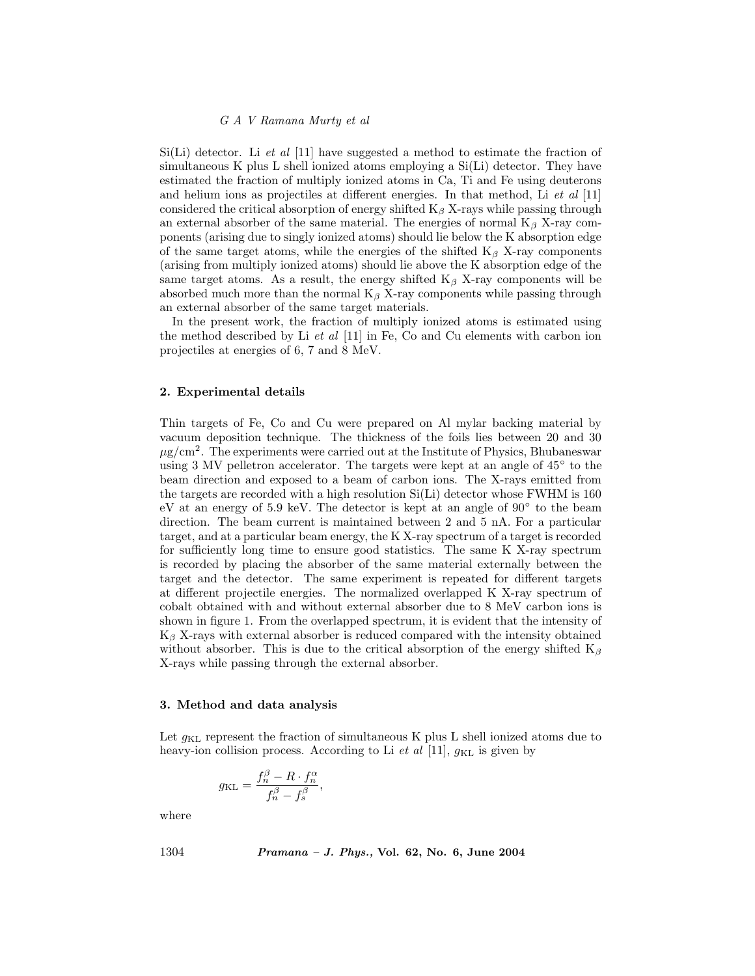### G A V Ramana Murty et al

 $Si(Li)$  detector. Li *et al* [11] have suggested a method to estimate the fraction of simultaneous K plus L shell ionized atoms employing a Si(Li) detector. They have estimated the fraction of multiply ionized atoms in Ca, Ti and Fe using deuterons and helium ions as projectiles at different energies. In that method, Li  $et \ al \ [11]$ considered the critical absorption of energy shifted  $K_\beta$  X-rays while passing through an external absorber of the same material. The energies of normal  $K_\beta$  X-ray components (arising due to singly ionized atoms) should lie below the K absorption edge of the same target atoms, while the energies of the shifted  $K_\beta$  X-ray components (arising from multiply ionized atoms) should lie above the K absorption edge of the same target atoms. As a result, the energy shifted  $K_\beta$  X-ray components will be absorbed much more than the normal  $K_\beta$  X-ray components while passing through an external absorber of the same target materials.

In the present work, the fraction of multiply ionized atoms is estimated using the method described by Li  $et$  al  $[11]$  in Fe, Co and Cu elements with carbon ion projectiles at energies of 6, 7 and 8 MeV.

# 2. Experimental details

Thin targets of Fe, Co and Cu were prepared on Al mylar backing material by vacuum deposition technique. The thickness of the foils lies between 20 and 30  $\mu$ g/cm<sup>2</sup>. The experiments were carried out at the Institute of Physics, Bhubaneswar using 3 MV pelletron accelerator. The targets were kept at an angle of 45◦ to the beam direction and exposed to a beam of carbon ions. The X-rays emitted from the targets are recorded with a high resolution Si(Li) detector whose FWHM is 160 eV at an energy of 5.9 keV. The detector is kept at an angle of 90◦ to the beam direction. The beam current is maintained between 2 and 5 nA. For a particular target, and at a particular beam energy, the K X-ray spectrum of a target is recorded for sufficiently long time to ensure good statistics. The same K X-ray spectrum is recorded by placing the absorber of the same material externally between the target and the detector. The same experiment is repeated for different targets at different projectile energies. The normalized overlapped K X-ray spectrum of cobalt obtained with and without external absorber due to 8 MeV carbon ions is shown in figure 1. From the overlapped spectrum, it is evident that the intensity of  $K_{\beta}$  X-rays with external absorber is reduced compared with the intensity obtained without absorber. This is due to the critical absorption of the energy shifted  $K_\beta$ X-rays while passing through the external absorber.

#### 3. Method and data analysis

Let  $g_{KL}$  represent the fraction of simultaneous K plus L shell ionized atoms due to heavy-ion collision process. According to Li  $et$  al [11],  $g_{KL}$  is given by

$$
g_{\mathrm{KL}} = \frac{f_n^{\beta} - R \cdot f_n^{\alpha}}{f_n^{\beta} - f_s^{\beta}},
$$

where

1304 Pramana – J. Phys., Vol. 62, No. 6, June 2004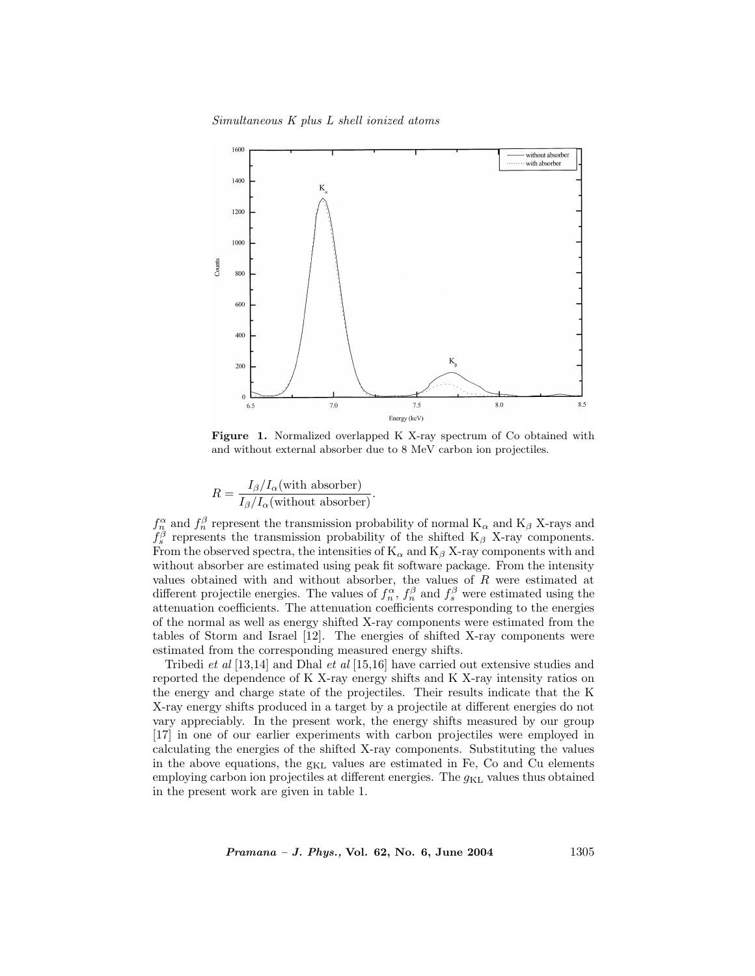

Figure 1. Normalized overlapped K X-ray spectrum of Co obtained with and without external absorber due to 8 MeV carbon ion projectiles.

$$
R = \frac{I_{\beta}/I_{\alpha}(\text{with absorber})}{I_{\beta}/I_{\alpha}(\text{without absorber})}.
$$

 $f_n^{\alpha}$  and  $f_n^{\beta}$  represent the transmission probability of normal  $K_{\alpha}$  and  $K_{\beta}$  X-rays and  $f_s^{\beta}$  represents the transmission probability of the shifted K<sub>β</sub> X-ray components. From the observed spectra, the intensities of  $K_{\alpha}$  and  $K_{\beta}$  X-ray components with and without absorber are estimated using peak fit software package. From the intensity values obtained with and without absorber, the values of  $R$  were estimated at different projectile energies. The values of  $f_n^{\alpha}$ ,  $f_n^{\beta}$  and  $f_s^{\beta}$  were estimated using the attenuation coefficients. The attenuation coefficients corresponding to the energies of the normal as well as energy shifted X-ray components were estimated from the tables of Storm and Israel [12]. The energies of shifted X-ray components were estimated from the corresponding measured energy shifts.

Tribedi et al [13,14] and Dhal et al [15,16] have carried out extensive studies and reported the dependence of K X-ray energy shifts and K X-ray intensity ratios on the energy and charge state of the projectiles. Their results indicate that the K X-ray energy shifts produced in a target by a projectile at different energies do not vary appreciably. In the present work, the energy shifts measured by our group [17] in one of our earlier experiments with carbon projectiles were employed in calculating the energies of the shifted X-ray components. Substituting the values in the above equations, the  $g_{KL}$  values are estimated in Fe, Co and Cu elements employing carbon ion projectiles at different energies. The  $g_{KL}$  values thus obtained in the present work are given in table 1.

 $Pramana - J. Phys., Vol. 62, No. 6, June 2004$  1305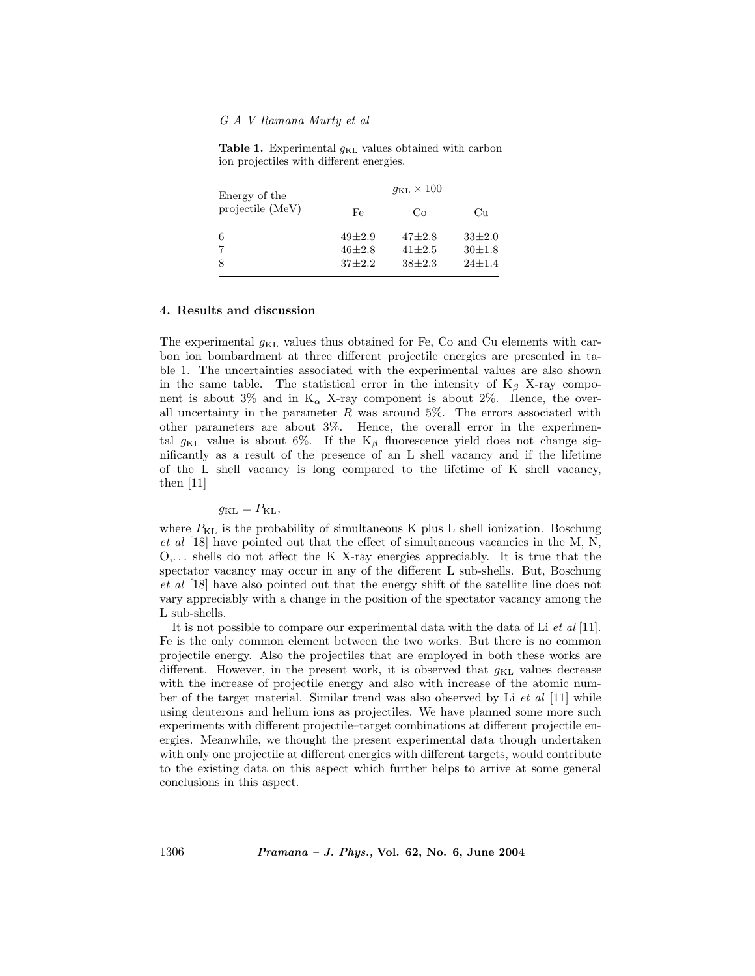# G A V Ramana Murty et al

| Energy of the<br>projectile (MeV) | $g_{\text{KL}} \times 100$ |            |              |
|-----------------------------------|----------------------------|------------|--------------|
|                                   | Fe                         | Co         | Cп           |
| 6                                 | $49 + 2.9$                 | $47 + 2.8$ | $33\pm2.0$   |
| 7                                 | $46 + 2.8$                 | $41 + 2.5$ | $30 \pm 1.8$ |
| 8                                 | $37 + 2.2$                 | $38 + 2.3$ | $24+1.4$     |

Table 1. Experimental  $g_{KL}$  values obtained with carbon ion projectiles with different energies.

## 4. Results and discussion

The experimental  $g_{\text{KL}}$  values thus obtained for Fe, Co and Cu elements with carbon ion bombardment at three different projectile energies are presented in table 1. The uncertainties associated with the experimental values are also shown in the same table. The statistical error in the intensity of  $K_\beta$  X-ray component is about 3% and in  $K_{\alpha}$  X-ray component is about 2%. Hence, the overall uncertainty in the parameter  $R$  was around 5%. The errors associated with other parameters are about 3%. Hence, the overall error in the experimental  $g_{KL}$  value is about 6%. If the K<sub>β</sub> fluorescence yield does not change significantly as a result of the presence of an L shell vacancy and if the lifetime of the L shell vacancy is long compared to the lifetime of K shell vacancy, then  $|11|$ 

# $g_{\text{KL}} = P_{\text{KL}}$

where  $P_{\text{KL}}$  is the probability of simultaneous K plus L shell ionization. Boschung et al [18] have pointed out that the effect of simultaneous vacancies in the M, N,  $O, \ldots$  shells do not affect the K X-ray energies appreciably. It is true that the spectator vacancy may occur in any of the different L sub-shells. But, Boschung et al [18] have also pointed out that the energy shift of the satellite line does not vary appreciably with a change in the position of the spectator vacancy among the L sub-shells.

It is not possible to compare our experimental data with the data of Li et al [11]. Fe is the only common element between the two works. But there is no common projectile energy. Also the projectiles that are employed in both these works are different. However, in the present work, it is observed that  $g_{KL}$  values decrease with the increase of projectile energy and also with increase of the atomic number of the target material. Similar trend was also observed by Li et al [11] while using deuterons and helium ions as projectiles. We have planned some more such experiments with different projectile–target combinations at different projectile energies. Meanwhile, we thought the present experimental data though undertaken with only one projectile at different energies with different targets, would contribute to the existing data on this aspect which further helps to arrive at some general conclusions in this aspect.

1306 Pramana – J. Phys., Vol. 62, No. 6, June 2004